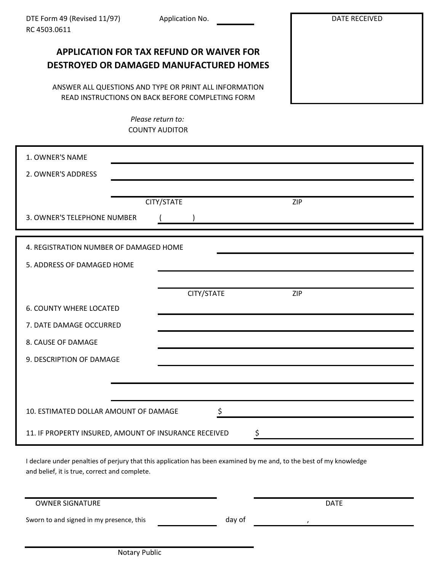DATE RECEIVED

# **APPLICATION FOR TAX REFUND OR WAIVER FOR DESTROYED OR DAMAGED MANUFACTURED HOMES**

ANSWER ALL QUESTIONS AND TYPE OR PRINT ALL INFORMATION READ INSTRUCTIONS ON BACK BEFORE COMPLETING FORM

> COUNTY AUDITOR *Please return to:*

| 1. OWNER'S NAME                                             |                          |  |  |  |  |
|-------------------------------------------------------------|--------------------------|--|--|--|--|
| 2. OWNER'S ADDRESS                                          |                          |  |  |  |  |
|                                                             |                          |  |  |  |  |
|                                                             | CITY/STATE<br><b>ZIP</b> |  |  |  |  |
| 3. OWNER'S TELEPHONE NUMBER                                 |                          |  |  |  |  |
| 4. REGISTRATION NUMBER OF DAMAGED HOME                      |                          |  |  |  |  |
|                                                             |                          |  |  |  |  |
| 5. ADDRESS OF DAMAGED HOME                                  |                          |  |  |  |  |
|                                                             |                          |  |  |  |  |
|                                                             | CITY/STATE<br><b>ZIP</b> |  |  |  |  |
| <b>6. COUNTY WHERE LOCATED</b>                              |                          |  |  |  |  |
| 7. DATE DAMAGE OCCURRED                                     |                          |  |  |  |  |
| 8. CAUSE OF DAMAGE                                          |                          |  |  |  |  |
| 9. DESCRIPTION OF DAMAGE                                    |                          |  |  |  |  |
|                                                             |                          |  |  |  |  |
|                                                             |                          |  |  |  |  |
| \$<br>10. ESTIMATED DOLLAR AMOUNT OF DAMAGE                 |                          |  |  |  |  |
| 11. IF PROPERTY INSURED, AMOUNT OF INSURANCE RECEIVED<br>\$ |                          |  |  |  |  |

I declare under penalties of perjury that this application has been examined by me and, to the best of my knowledge and belief, it is true, correct and complete.

| <b>OWNER SIGNATURE</b>                   |        | <b>DATE</b> |  |
|------------------------------------------|--------|-------------|--|
| Sworn to and signed in my presence, this | day of |             |  |
|                                          |        |             |  |